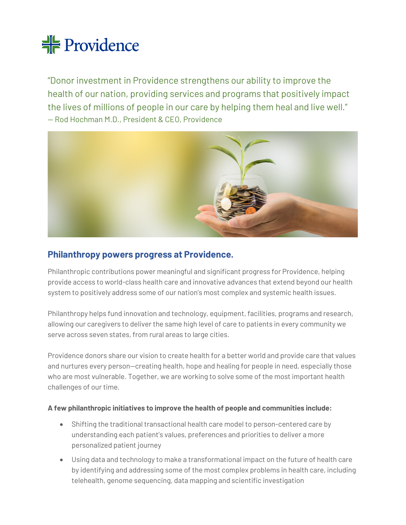# <del> Providence</del>

"Donor investment in Providence strengthens our ability to improve the health of our nation, providing services and programs that positively impact the lives of millions of people in our care by helping them heal and live well." — Rod Hochman M.D., President & CEO, Providence



## **Philanthropy powers progress at Providence.**

Philanthropic contributions power meaningful and significant progress for Providence, helping provide access to world-class health care and innovative advances that extend beyond our health system to positively address some of our nation's most complex and systemic health issues.

Philanthropy helps fund innovation and technology, equipment, facilities, programs and research, allowing our caregivers to deliver the same high level of care to patients in every community we serve across seven states, from rural areas to large cities.

Providence donors share our vision to create health for a better world and provide care that values and nurtures every person—creating health, hope and healing for people in need, especially those who are most vulnerable. Together, we are working to solve some of the most important health challenges of our time.

## **A few philanthropic initiatives to improve the health of people and communities include:**

- Shifting the traditional transactional health care model to person-centered care by understanding each patient's values, preferences and priorities to deliver a more personalized patient journey
- Using data and technology to make a transformational impact on the future of health care by identifying and addressing some of the most complex problems in health care, including telehealth, genome sequencing, data mapping and scientific investigation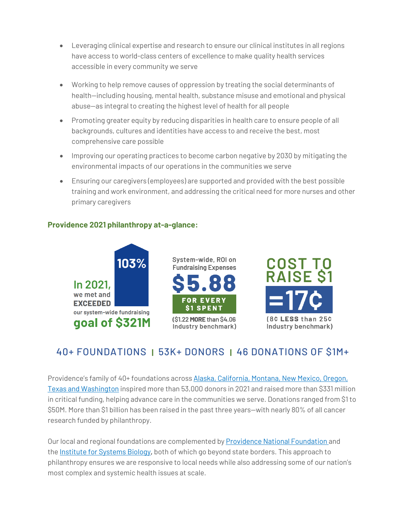- Leveraging clinical expertise and research to ensure our clinical institutes in all regions have access to world-class centers of excellence to make quality health services accessible in every community we serve
- Working to help remove causes of oppression by treating the social determinants of health—including housing, mental health, substance misuse and emotional and physical abuse—as integral to creating the highest level of health for all people
- Promoting greater equity by reducing disparities in health care to ensure people of all backgrounds, cultures and identities have access to and receive the best, most comprehensive care possible
- Improving our operating practices to become carbon negative by 2030 by mitigating the environmental impacts of our operations in the communities we serve
- Ensuring our caregivers (employees) are supported and provided with the best possible training and work environment, and addressing the critical need for more nurses and other primary caregivers

## **Providence 2021 philanthropy at-a-glance:**



## 40+ FOUNDATIONS **|** 53K+ DONORS **|** 46 DONATIONS OF \$1M+

Providence's family of 40+ foundations across Alaska, California, Montana, New Mexico, Oregon, [Texas and Washington](https://foundation.providence.org/) inspired more than 53,000 donors in 2021 and raised more than \$331 million in critical funding, helping advance care in the communities we serve. Donations ranged from \$1 to \$50M. More than \$1 billion has been raised in the past three years—with nearly 80% of all cancer research funded by philanthropy.

Our local and regional foundations are complemented by [Providence National Foundation](https://foundation.providence.org/national) and the [Institute for Systems Biology,](https://isbscience.org/) both of which go beyond state borders. This approach to philanthropy ensures we are responsive to local needs while also addressing some of our nation's most complex and systemic health issues at scale.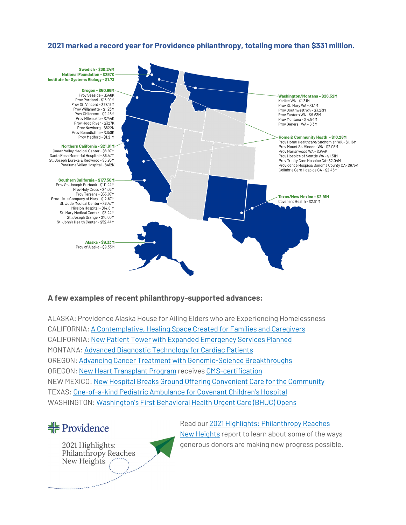## **2021 marked a record year for Providence philanthropy, totaling more than \$331 million.**



### **A few examples of recent philanthropy-supported advances:**

ALASKA: Providence Alaska House for Ailing Elders who are Experiencing Homelessness CALIFORNIA[: A Contemplative, Healing Space Created for Families and Caregivers](https://foundation.providence.org/ca/trinitycare/about-us/our-stories/blessing-of-the-healing-garden) CALIFORNIA: New Patient Tower with [Expanded Emergency Services](https://tarzanafoundation.org/donation-announcement/) Planned MONTANA[: Advanced Diagnostic](https://foundation.providence.org/montana/about-us/our-stories/generous-gift-will-provide-new-spect-ct-imaging-for-international-heart-institute) Technology for Cardiac Patients OREGON[: Advancing Cancer Treatment with Genomic-Science Breakthroughs](https://foundation.providence.org/national/about-us/our-stories/advancing-cancer-treatment-with-genomic-science-breakthroughs-and-rapid-testing-innovations) OREGON[: New Heart Transplant Program](https://providencefoundations.org/providence-heart-institute-receives-75-million-gift-from-phil-and-penny-knight/) receive[s CMS-certification](https://providencefoundations.org/providence-heart-transplant-program-receives-cms-certification/) NEW MEXICO[: New Hospital Breaks Ground Offering](https://foundation.providence.org/texas/covenant/about-us/our-stories/new-hospital-brings-outstanding-health-care-closer-to-home) Convenient Care for the Community TEXAS[: One-of-a-kind Pediatric Ambulance](https://foundation.providence.org/texas/covenant/about-us/our-stories/covenant-children-s-hospital-unveils-a-special-ambulance-just-for-kids) for Covenant Children's Hospital WASHINGTON[: Washington's First Behavioral Health Urgent Care \(BHUC\) Opens](https://foundation.providence.org/wa/everett/about-us/our-stories/a-world-changer-wraps-up-its-first-year)



2021 Highlights: Philanthropy Reaches New Heights



Read our [2021 Highlights: Philanthropy Reaches](https://foundation.providence.org/2021-highlights)  [New Heights](https://foundation.providence.org/2021-highlights) report to learn about some of the ways generous donors are making new progress possible.